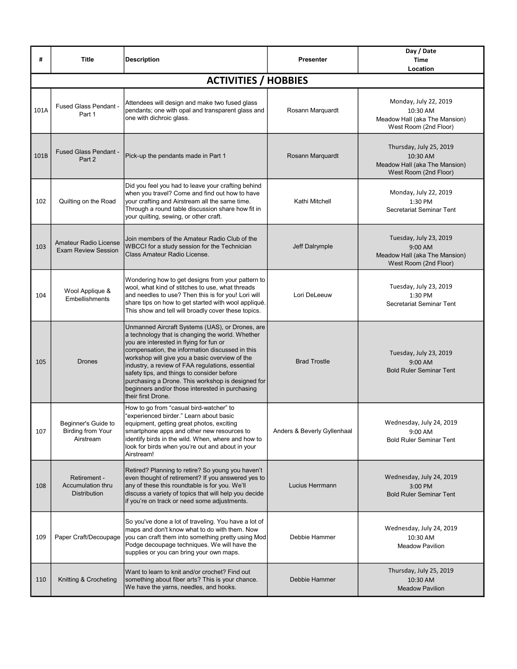| #    | <b>Title</b>                                                 | <b>Description</b>                                                                                                                                                                                                                                                                                                                                                                                                                                                                  | <b>Presenter</b>            | Day / Date<br><b>Time</b><br>Location                                                         |
|------|--------------------------------------------------------------|-------------------------------------------------------------------------------------------------------------------------------------------------------------------------------------------------------------------------------------------------------------------------------------------------------------------------------------------------------------------------------------------------------------------------------------------------------------------------------------|-----------------------------|-----------------------------------------------------------------------------------------------|
|      |                                                              | <b>ACTIVITIES / HOBBIES</b>                                                                                                                                                                                                                                                                                                                                                                                                                                                         |                             |                                                                                               |
| 101A | Fused Glass Pendant -<br>Part 1                              | Attendees will design and make two fused glass<br>pendants; one with opal and transparent glass and<br>one with dichroic glass.                                                                                                                                                                                                                                                                                                                                                     | Rosann Marquardt            | Monday, July 22, 2019<br>10:30 AM<br>Meadow Hall (aka The Mansion)<br>West Room (2nd Floor)   |
| 101B | <b>Fused Glass Pendant -</b><br>Part 2                       | Pick-up the pendants made in Part 1                                                                                                                                                                                                                                                                                                                                                                                                                                                 | Rosann Marquardt            | Thursday, July 25, 2019<br>10:30 AM<br>Meadow Hall (aka The Mansion)<br>West Room (2nd Floor) |
| 102  | Quilting on the Road                                         | Did you feel you had to leave your crafting behind<br>when you travel? Come and find out how to have<br>your crafting and Airstream all the same time.<br>Through a round table discussion share how fit in<br>your quilting, sewing, or other craft.                                                                                                                                                                                                                               | Kathi Mitchell              | Monday, July 22, 2019<br>1:30 PM<br>Secretariat Seminar Tent                                  |
| 103  | <b>Amateur Radio License</b><br><b>Exam Review Session</b>   | Join members of the Amateur Radio Club of the<br>WBCCI for a study session for the Technician<br>Class Amateur Radio License.                                                                                                                                                                                                                                                                                                                                                       | Jeff Dalrymple              | Tuesday, July 23, 2019<br>9:00 AM<br>Meadow Hall (aka The Mansion)<br>West Room (2nd Floor)   |
| 104  | Wool Applique &<br>Embellishments                            | Wondering how to get designs from your pattern to<br>wool, what kind of stitches to use, what threads<br>and needles to use? Then this is for you! Lori will<br>share tips on how to get started with wool appliqué.<br>This show and tell will broadly cover these topics.                                                                                                                                                                                                         | Lori DeLeeuw                | Tuesday, July 23, 2019<br>1:30 PM<br>Secretariat Seminar Tent                                 |
| 105  | <b>Drones</b>                                                | Unmanned Aircraft Systems (UAS), or Drones, are<br>a technology that is changing the world. Whether<br>you are interested in flying for fun or<br>compensation, the information discussed in this<br>workshop will give you a basic overview of the<br>industry, a review of FAA regulations, essential<br>safety tips, and things to consider before<br>purchasing a Drone. This workshop is designed for<br>beginners and/or those interested in purchasing<br>their first Drone. | <b>Brad Trostle</b>         | Tuesday, July 23, 2019<br>9:00 AM<br><b>Bold Ruler Seminar Tent</b>                           |
| 107  | Beginner's Guide to<br><b>Birding from Your</b><br>Airstream | How to go from "casual bird-watcher" to<br>'experienced birder." Learn about basic<br>equipment, getting great photos, exciting<br>smartphone apps and other new resources to<br>identify birds in the wild. When, where and how to<br>look for birds when you're out and about in your<br>Airstream!                                                                                                                                                                               | Anders & Beverly Gyllenhaal | Wednesday, July 24, 2019<br>9:00 AM<br><b>Bold Ruler Seminar Tent</b>                         |
| 108  | Retirement -<br>Accumulation thru<br><b>Distribution</b>     | Retired? Planning to retire? So young you haven't<br>even thought of retirement? If you answered yes to<br>any of these this roundtable is for you. We'll<br>discuss a variety of topics that will help you decide<br>if you're on track or need some adjustments.                                                                                                                                                                                                                  | Lucius Herrmann             | Wednesday, July 24, 2019<br>3:00 PM<br><b>Bold Ruler Seminar Tent</b>                         |
| 109  | Paper Craft/Decoupage                                        | So you've done a lot of traveling. You have a lot of<br>maps and don't know what to do with them. Now<br>you can craft them into something pretty using Mod<br>Podge decoupage techniques. We will have the<br>supplies or you can bring your own maps.                                                                                                                                                                                                                             | Debbie Hammer               | Wednesday, July 24, 2019<br>10:30 AM<br><b>Meadow Pavilion</b>                                |
| 110  | Knitting & Crocheting                                        | Want to learn to knit and/or crochet? Find out<br>something about fiber arts? This is your chance.<br>We have the yarns, needles, and hooks.                                                                                                                                                                                                                                                                                                                                        | Debbie Hammer               | Thursday, July 25, 2019<br>10:30 AM<br><b>Meadow Pavilion</b>                                 |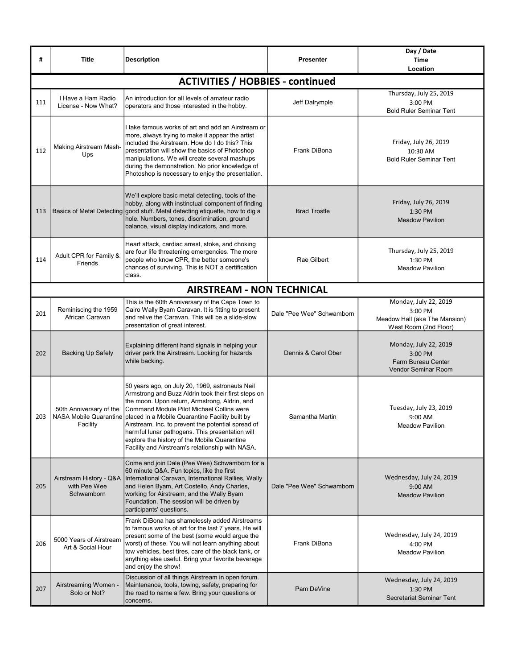| #   | <b>Title</b>                                          | <b>Description</b>                                                                                                                                                                                                                                                                                                                                                                                                                                                                            | Presenter                 | Day / Date<br><b>Time</b><br>Location                                                       |
|-----|-------------------------------------------------------|-----------------------------------------------------------------------------------------------------------------------------------------------------------------------------------------------------------------------------------------------------------------------------------------------------------------------------------------------------------------------------------------------------------------------------------------------------------------------------------------------|---------------------------|---------------------------------------------------------------------------------------------|
|     |                                                       | <b>ACTIVITIES / HOBBIES - continued</b>                                                                                                                                                                                                                                                                                                                                                                                                                                                       |                           |                                                                                             |
| 111 | I Have a Ham Radio<br>License - Now What?             | An introduction for all levels of amateur radio<br>operators and those interested in the hobby.                                                                                                                                                                                                                                                                                                                                                                                               | Jeff Dalrymple            | Thursday, July 25, 2019<br>3:00 PM<br><b>Bold Ruler Seminar Tent</b>                        |
| 112 | Making Airstream Mash-<br>Ups                         | take famous works of art and add an Airstream or<br>more, always trying to make it appear the artist<br>included the Airstream. How do I do this? This<br>presentation will show the basics of Photoshop<br>manipulations. We will create several mashups<br>during the demonstration. No prior knowledge of<br>Photoshop is necessary to enjoy the presentation.                                                                                                                             | Frank DiBona              | Friday, July 26, 2019<br>10:30 AM<br><b>Bold Ruler Seminar Tent</b>                         |
| 113 |                                                       | We'll explore basic metal detecting, tools of the<br>hobby, along with instinctual component of finding<br>Basics of Metal Detecting good stuff. Metal detecting etiquette, how to dig a<br>hole. Numbers, tones, discrimination, ground<br>balance, visual display indicators, and more.                                                                                                                                                                                                     | <b>Brad Trostle</b>       | Friday, July 26, 2019<br>1:30 PM<br><b>Meadow Pavilion</b>                                  |
| 114 | Adult CPR for Family &<br>Friends                     | Heart attack, cardiac arrest, stoke, and choking<br>are four life threatening emergencies. The more<br>people who know CPR, the better someone's<br>chances of surviving. This is NOT a certification<br>class.                                                                                                                                                                                                                                                                               | Rae Gilbert               | Thursday, July 25, 2019<br>1:30 PM<br><b>Meadow Pavilion</b>                                |
|     |                                                       | <b>AIRSTREAM - NON TECHNICAL</b>                                                                                                                                                                                                                                                                                                                                                                                                                                                              |                           |                                                                                             |
| 201 | Reminiscing the 1959<br>African Caravan               | This is the 60th Anniversary of the Cape Town to<br>Cairo Wally Byam Caravan. It is fitting to present<br>and relive the Caravan. This will be a slide-slow<br>presentation of great interest.                                                                                                                                                                                                                                                                                                | Dale "Pee Wee" Schwamborn | Monday, July 22, 2019<br>3:00 PM<br>Meadow Hall (aka The Mansion)<br>West Room (2nd Floor)  |
| 202 | <b>Backing Up Safely</b>                              | Explaining different hand signals in helping your<br>driver park the Airstream. Looking for hazards<br>while backing.                                                                                                                                                                                                                                                                                                                                                                         | Dennis & Carol Ober       | Monday, July 22, 2019<br>3:00 PM<br><b>Farm Bureau Center</b><br><b>Vendor Seminar Room</b> |
| 203 | 50th Anniversary of the<br>Facility                   | 50 years ago, on July 20, 1969, astronauts Neil<br>Armstrong and Buzz Aldrin took their first steps on<br>the moon. Upon return, Armstrong, Aldrin, and<br>Command Module Pilot Michael Collins were<br>NASA Mobile Quarantine   placed in a Mobile Quarantine Facility built by<br>Airstream, Inc. to prevent the potential spread of<br>harmful lunar pathogens. This presentation will<br>explore the history of the Mobile Quarantine<br>Facility and Airstream's relationship with NASA. | Samantha Martin           | Tuesday, July 23, 2019<br>9:00 AM<br><b>Meadow Pavilion</b>                                 |
| 205 | Airstream History - Q&A<br>with Pee Wee<br>Schwamborn | Come and join Dale (Pee Wee) Schwamborn for a<br>60 minute Q&A. Fun topics, like the first<br>International Caravan, International Rallies, Wally<br>and Helen Byam, Art Costello, Andy Charles,<br>working for Airstream, and the Wally Byam<br>Foundation. The session will be driven by<br>participants' questions.                                                                                                                                                                        | Dale "Pee Wee" Schwamborn | Wednesday, July 24, 2019<br>9:00 AM<br><b>Meadow Pavilion</b>                               |
| 206 | 5000 Years of Airstream<br>Art & Social Hour          | Frank DiBona has shamelessly added Airstreams<br>to famous works of art for the last 7 years. He will<br>present some of the best (some would argue the<br>worst) of these. You will not learn anything about<br>tow vehicles, best tires, care of the black tank, or<br>anything else useful. Bring your favorite beverage<br>and enjoy the show!                                                                                                                                            | Frank DiBona              | Wednesday, July 24, 2019<br>4:00 PM<br><b>Meadow Pavilion</b>                               |
| 207 | Airstreaming Women -<br>Solo or Not?                  | Discussion of all things Airstream in open forum.<br>Maintenance, tools, towing, safety, preparing for<br>the road to name a few. Bring your questions or<br>concerns.                                                                                                                                                                                                                                                                                                                        | Pam DeVine                | Wednesday, July 24, 2019<br>1:30 PM<br>Secretariat Seminar Tent                             |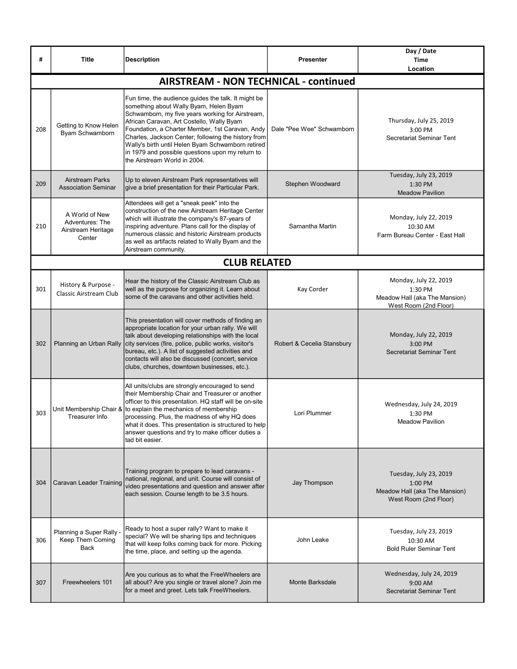| #   | Title                                                             | <b>Description</b>                                                                                                                                                                                                                                                                                                                                                                                                                                | <b>Presenter</b>           | Day / Date<br><b>Time</b><br>Location                                                       |
|-----|-------------------------------------------------------------------|---------------------------------------------------------------------------------------------------------------------------------------------------------------------------------------------------------------------------------------------------------------------------------------------------------------------------------------------------------------------------------------------------------------------------------------------------|----------------------------|---------------------------------------------------------------------------------------------|
|     |                                                                   | <b>AIRSTREAM - NON TECHNICAL - continued</b>                                                                                                                                                                                                                                                                                                                                                                                                      |                            |                                                                                             |
| 208 | Getting to Know Helen<br>Byam Schwamborn                          | Fun time, the audience guides the talk. It might be<br>something about Wally Byam, Helen Byam<br>Schwamborn, my five years working for Airstream,<br>African Caravan, Art Costello, Wally Byam<br>Foundation, a Charter Member, 1st Caravan, Andy<br>Charles, Jackson Center; following the history from<br>Wally's birth until Helen Byam Schwamborn retired<br>in 1979 and possible questions upon my return to<br>the Airstream World in 2004. | Dale "Pee Wee" Schwamborn  | Thursday, July 25, 2019<br>3:00 PM<br>Secretariat Seminar Tent                              |
| 209 | <b>Airstream Parks</b><br><b>Association Seminar</b>              | Up to eleven Airstream Park representatives will<br>give a brief presentation for their Particular Park.                                                                                                                                                                                                                                                                                                                                          | Stephen Woodward           | Tuesday, July 23, 2019<br>1:30 PM<br><b>Meadow Pavilion</b>                                 |
| 210 | A World of New<br>Adventures: The<br>Airstream Heritage<br>Center | Attendees will get a "sneak peek" into the<br>construction of the new Airstream Heritage Center<br>which will illustrate the company's 87-years of<br>inspiring adventure. Plans call for the display of<br>numerous classic and historic Airstream products<br>as well as artifacts related to Wally Byam and the<br>Airstream community.                                                                                                        | Samantha Martin            | Monday, July 22, 2019<br>10:30 AM<br>Farm Bureau Center - East Hall                         |
|     |                                                                   | <b>CLUB RELATED</b>                                                                                                                                                                                                                                                                                                                                                                                                                               |                            |                                                                                             |
| 301 | History & Purpose -<br>Classic Airstream Club                     | Hear the history of the Classic Airstream Club as<br>well as the purpose for organizing it. Learn about<br>some of the caravans and other activities held.                                                                                                                                                                                                                                                                                        | Kay Corder                 | Monday, July 22, 2019<br>1:30 PM<br>Meadow Hall (aka The Mansion)<br>West Room (2nd Floor)  |
| 302 | Planning an Urban Rally                                           | This presentation will cover methods of finding an<br>appropriate location for your urban rally. We will<br>talk about developing relationships with the local<br>city services (fire, police, public works, visitor's<br>bureau, etc.). A list of suggested activities and<br>contacts will also be discussed (concert, service<br>clubs, churches, downtown businesses, etc.).                                                                  | Robert & Cecelia Stansbury | Monday, July 22, 2019<br>$3:00$ PM<br>Secretariat Seminar Tent                              |
| 303 | Treasurer Info                                                    | All units/clubs are strongly encouraged to send<br>their Membership Chair and Treasurer or another<br>officer to this presentation. HQ staff will be on-site<br>Unit Membership Chair & to explain the mechanics of membership<br>processing. Plus, the madness of why HQ does<br>what it does. This presentation is structured to help<br>answer questions and try to make officer duties a<br>tad bit easier.                                   | Lori Plummer               | Wednesday, July 24, 2019<br>1:30 PM<br>Meadow Pavilion                                      |
| 304 | Caravan Leader Training                                           | Training program to prepare to lead caravans -<br>national, regional, and unit. Course will consist of<br>video presentations and question and answer after<br>each session. Course length to be 3.5 hours.                                                                                                                                                                                                                                       | Jay Thompson               | Tuesday, July 23, 2019<br>1:00 PM<br>Meadow Hall (aka The Mansion)<br>West Room (2nd Floor) |
| 306 | Planning a Super Rally -<br>Keep Them Coming<br>Back              | Ready to host a super rally? Want to make it<br>special? We will be sharing tips and techniques<br>that will keep folks coming back for more. Picking<br>the time, place, and setting up the agenda.                                                                                                                                                                                                                                              | John Leake                 | Tuesday, July 23, 2019<br>10:30 AM<br><b>Bold Ruler Seminar Tent</b>                        |
| 307 | Freewheelers 101                                                  | Are you curious as to what the FreeWheelers are<br>all about? Are you single or travel alone? Join me<br>for a meet and greet. Lets talk FreeWheelers.                                                                                                                                                                                                                                                                                            | Monte Barksdale            | Wednesday, July 24, 2019<br>9:00 AM<br>Secretariat Seminar Tent                             |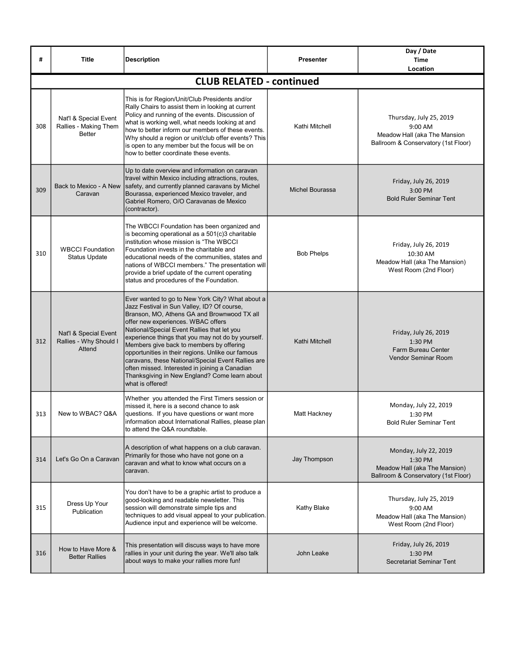| #   | <b>Title</b>                                                    | <b>Description</b>                                                                                                                                                                                                                                                                                                                                                                                                                                                                                                                                                      | Presenter              | Day / Date<br><b>Time</b><br>Location                                                                     |
|-----|-----------------------------------------------------------------|-------------------------------------------------------------------------------------------------------------------------------------------------------------------------------------------------------------------------------------------------------------------------------------------------------------------------------------------------------------------------------------------------------------------------------------------------------------------------------------------------------------------------------------------------------------------------|------------------------|-----------------------------------------------------------------------------------------------------------|
|     |                                                                 | <b>CLUB RELATED - continued</b>                                                                                                                                                                                                                                                                                                                                                                                                                                                                                                                                         |                        |                                                                                                           |
| 308 | Nat'l & Special Event<br>Rallies - Making Them<br><b>Better</b> | This is for Region/Unit/Club Presidents and/or<br>Rally Chairs to assist them in looking at current<br>Policy and running of the events. Discussion of<br>what is working well, what needs looking at and<br>how to better inform our members of these events.<br>Why should a region or unit/club offer events? This<br>is open to any member but the focus will be on<br>how to better coordinate these events.                                                                                                                                                       | Kathi Mitchell         | Thursday, July 25, 2019<br>9:00 AM<br>Meadow Hall (aka The Mansion<br>Ballroom & Conservatory (1st Floor) |
| 309 | Back to Mexico - A New<br>Caravan                               | Up to date overview and information on caravan<br>travel within Mexico including attractions, routes,<br>safety, and currently planned caravans by Michel<br>Bourassa, experienced Mexico traveler, and<br>Gabriel Romero, O/O Caravanas de Mexico<br>(contractor).                                                                                                                                                                                                                                                                                                     | <b>Michel Bourassa</b> | Friday, July 26, 2019<br>3:00 PM<br><b>Bold Ruler Seminar Tent</b>                                        |
| 310 | <b>WBCCI Foundation</b><br><b>Status Update</b>                 | The WBCCI Foundation has been organized and<br>is becoming operational as a 501(c)3 charitable<br>institution whose mission is "The WBCCI<br>Foundation invests in the charitable and<br>educational needs of the communities, states and<br>nations of WBCCI members." The presentation will<br>provide a brief update of the current operating<br>status and procedures of the Foundation.                                                                                                                                                                            | <b>Bob Phelps</b>      | Friday, July 26, 2019<br>10:30 AM<br>Meadow Hall (aka The Mansion)<br>West Room (2nd Floor)               |
| 312 | Nat'l & Special Event<br>Rallies - Why Should I<br>Attend       | Ever wanted to go to New York City? What about a<br>Jazz Festival in Sun Valley, ID? Of course,<br>Branson, MO, Athens GA and Brownwood TX all<br>offer new experiences. WBAC offers<br>National/Special Event Rallies that let you<br>experience things that you may not do by yourself.<br>Members give back to members by offering<br>opportunities in their regions. Unlike our famous<br>caravans, these National/Special Event Rallies are<br>often missed. Interested in joining a Canadian<br>Thanksgiving in New England? Come learn about<br>what is offered! | Kathi Mitchell         | Friday, July 26, 2019<br>1:30 PM<br><b>Farm Bureau Center</b><br><b>Vendor Seminar Room</b>               |
| 313 | New to WBAC? Q&A                                                | Whether you attended the First Timers session or<br>missed it, here is a second chance to ask<br>questions. If you have questions or want more<br>information about International Rallies, please plan<br>to attend the Q&A roundtable.                                                                                                                                                                                                                                                                                                                                 | Matt Hackney           | Monday, July 22, 2019<br>1:30 PM<br><b>Bold Ruler Seminar Tent</b>                                        |
| 314 | Let's Go On a Caravan                                           | A description of what happens on a club caravan.<br>Primarily for those who have not gone on a<br>caravan and what to know what occurs on a<br>caravan.                                                                                                                                                                                                                                                                                                                                                                                                                 | Jay Thompson           | Monday, July 22, 2019<br>1:30 PM<br>Meadow Hall (aka The Mansion)<br>Ballroom & Conservatory (1st Floor)  |
| 315 | Dress Up Your<br>Publication                                    | You don't have to be a graphic artist to produce a<br>good-looking and readable newsletter. This<br>session will demonstrate simple tips and<br>techniques to add visual appeal to your publication.<br>Audience input and experience will be welcome.                                                                                                                                                                                                                                                                                                                  | Kathy Blake            | Thursday, July 25, 2019<br>9:00 AM<br>Meadow Hall (aka The Mansion)<br>West Room (2nd Floor)              |
| 316 | How to Have More &<br><b>Better Rallies</b>                     | This presentation will discuss ways to have more<br>rallies in your unit during the year. We'll also talk<br>about ways to make your rallies more fun!                                                                                                                                                                                                                                                                                                                                                                                                                  | John Leake             | Friday, July 26, 2019<br>1:30 PM<br>Secretariat Seminar Tent                                              |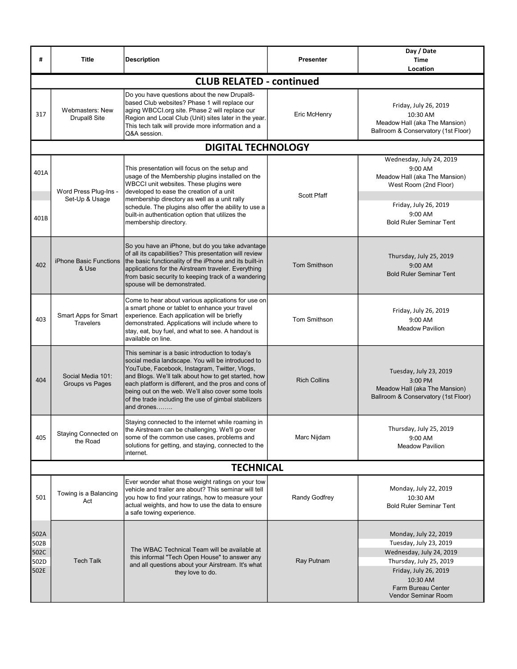| #                                    | <b>Title</b>                             | <b>Description</b>                                                                                                                                                                                                                                                                                                                                                                              | <b>Presenter</b>    | Day / Date<br><b>Time</b><br>Location                                                                                                                                                    |  |  |  |
|--------------------------------------|------------------------------------------|-------------------------------------------------------------------------------------------------------------------------------------------------------------------------------------------------------------------------------------------------------------------------------------------------------------------------------------------------------------------------------------------------|---------------------|------------------------------------------------------------------------------------------------------------------------------------------------------------------------------------------|--|--|--|
|                                      |                                          | <b>CLUB RELATED - continued</b>                                                                                                                                                                                                                                                                                                                                                                 |                     |                                                                                                                                                                                          |  |  |  |
| 317                                  | Webmasters: New<br>Drupal8 Site          | Do you have questions about the new Drupal8-<br>based Club websites? Phase 1 will replace our<br>aging WBCCI.org site. Phase 2 will replace our<br>Region and Local Club (Unit) sites later in the year.<br>This tech talk will provide more information and a<br>Q&A session.                                                                                                                  | Eric McHenry        | Friday, July 26, 2019<br>10:30 AM<br>Meadow Hall (aka The Mansion)<br>Ballroom & Conservatory (1st Floor)                                                                                |  |  |  |
|                                      |                                          | <b>DIGITAL TECHNOLOGY</b>                                                                                                                                                                                                                                                                                                                                                                       |                     |                                                                                                                                                                                          |  |  |  |
| 401A<br>401B                         | Word Press Plug-Ins -<br>Set-Up & Usage  | This presentation will focus on the setup and<br>usage of the Membership plugins installed on the<br>WBCCI unit websites. These plugins were<br>developed to ease the creation of a unit<br>membership directory as well as a unit rally<br>schedule. The plugins also offer the ability to use a<br>built-in authentication option that utilizes the                                           | <b>Scott Pfaff</b>  | Wednesday, July 24, 2019<br>9:00 AM<br>Meadow Hall (aka The Mansion)<br>West Room (2nd Floor)<br>Friday, July 26, 2019<br>9:00 AM                                                        |  |  |  |
|                                      |                                          | membership directory.                                                                                                                                                                                                                                                                                                                                                                           |                     | <b>Bold Ruler Seminar Tent</b>                                                                                                                                                           |  |  |  |
| 402                                  | iPhone Basic Functions<br>& Use          | So you have an iPhone, but do you take advantage<br>of all its capabilities? This presentation will review<br>the basic functionality of the iPhone and its built-in<br>applications for the Airstream traveler. Everything<br>from basic security to keeping track of a wandering<br>spouse will be demonstrated.                                                                              | <b>Tom Smithson</b> | Thursday, July 25, 2019<br>9:00 AM<br><b>Bold Ruler Seminar Tent</b>                                                                                                                     |  |  |  |
| 403                                  | Smart Apps for Smart<br><b>Travelers</b> | Come to hear about various applications for use on<br>a smart phone or tablet to enhance your travel<br>experience. Each application will be briefly<br>demonstrated. Applications will include where to<br>stay, eat, buy fuel, and what to see. A handout is<br>available on line.                                                                                                            | Tom Smithson        | Friday, July 26, 2019<br>9:00 AM<br><b>Meadow Pavilion</b>                                                                                                                               |  |  |  |
| 404                                  | Social Media 101:<br>Groups vs Pages     | This seminar is a basic introduction to today's<br>social media landscape. You will be introduced to<br>YouTube, Facebook, Instagram, Twitter, Vlogs,<br>and Blogs. We'll talk about how to get started, how<br>each platform is different, and the pros and cons of<br>being out on the web. We'll also cover some tools<br>of the trade including the use of gimbal stabilizers<br>and drones | <b>Rich Collins</b> | Tuesday, July 23, 2019<br>3:00 PM<br>Meadow Hall (aka The Mansion)<br>Ballroom & Conservatory (1st Floor)                                                                                |  |  |  |
| 405                                  | Staying Connected on<br>the Road         | Staying connected to the internet while roaming in<br>the Airstream can be challenging. We'll go over<br>some of the common use cases, problems and<br>solutions for getting, and staying, connected to the<br>internet.                                                                                                                                                                        | Marc Nijdam         | Thursday, July 25, 2019<br>9:00 AM<br><b>Meadow Pavilion</b>                                                                                                                             |  |  |  |
|                                      | <b>TECHNICAL</b>                         |                                                                                                                                                                                                                                                                                                                                                                                                 |                     |                                                                                                                                                                                          |  |  |  |
| 501                                  | Towing is a Balancing<br>Act             | Ever wonder what those weight ratings on your tow<br>vehicle and trailer are about? This seminar will tell<br>you how to find your ratings, how to measure your<br>actual weights, and how to use the data to ensure<br>a safe towing experience.                                                                                                                                               | Randy Godfrey       | Monday, July 22, 2019<br>10:30 AM<br><b>Bold Ruler Seminar Tent</b>                                                                                                                      |  |  |  |
| 502A<br>502B<br>502C<br>502D<br>502E | <b>Tech Talk</b>                         | The WBAC Technical Team will be available at<br>this informal "Tech Open House" to answer any<br>and all questions about your Airstream. It's what<br>they love to do.                                                                                                                                                                                                                          | Ray Putnam          | Monday, July 22, 2019<br>Tuesday, July 23, 2019<br>Wednesday, July 24, 2019<br>Thursday, July 25, 2019<br>Friday, July 26, 2019<br>10:30 AM<br>Farm Bureau Center<br>Vendor Seminar Room |  |  |  |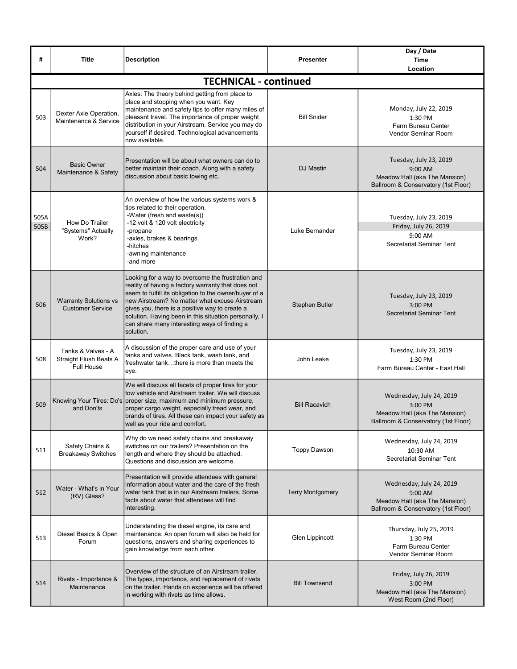| #            | <b>Title</b>                                                      | <b>Description</b>                                                                                                                                                                                                                                                                                                                                                                          | <b>Presenter</b>        | Day / Date<br><b>Time</b><br>Location                                                                       |
|--------------|-------------------------------------------------------------------|---------------------------------------------------------------------------------------------------------------------------------------------------------------------------------------------------------------------------------------------------------------------------------------------------------------------------------------------------------------------------------------------|-------------------------|-------------------------------------------------------------------------------------------------------------|
|              |                                                                   | <b>TECHNICAL - continued</b>                                                                                                                                                                                                                                                                                                                                                                |                         |                                                                                                             |
| 503          | Dexter Axle Operation,<br>Maintenance & Service                   | Axles: The theory behind getting from place to<br>place and stopping when you want. Key<br>maintenance and safety tips to offer many miles of<br>pleasant travel. The importance of proper weight<br>distribution in your Airstream. Service you may do<br>yourself if desired. Technological advancements<br>now available.                                                                | <b>Bill Snider</b>      | Monday, July 22, 2019<br>1:30 PM<br>Farm Bureau Center<br>Vendor Seminar Room                               |
| 504          | <b>Basic Owner</b><br>Maintenance & Safety                        | Presentation will be about what owners can do to<br>better maintain their coach. Along with a safety<br>discussion about basic towing etc.                                                                                                                                                                                                                                                  | DJ Mastin               | Tuesday, July 23, 2019<br>9:00 AM<br>Meadow Hall (aka The Mansion)<br>Ballroom & Conservatory (1st Floor)   |
| 505A<br>505B | How Do Trailer<br>"Systems" Actually<br>Work?                     | An overview of how the various systems work &<br>tips related to their operation.<br>-Water (fresh and waste(s))<br>-12 volt & 120 volt electricity<br>-propane<br>-axles, brakes & bearings<br>-hitches<br>-awning maintenance<br>-and more                                                                                                                                                | Luke Bernander          | Tuesday, July 23, 2019<br>Friday, July 26, 2019<br>9:00 AM<br>Secretariat Seminar Tent                      |
| 506          | <b>Warranty Solutions vs</b><br><b>Customer Service</b>           | Looking for a way to overcome the frustration and<br>reality of having a factory warranty that does not<br>seem to fulfill its obligation to the owner/buyer of a<br>new Airstream? No matter what excuse Airstream<br>gives you, there is a positive way to create a<br>solution. Having been in this situation personally, I<br>can share many interesting ways of finding a<br>solution. | <b>Stephen Butler</b>   | Tuesday, July 23, 2019<br>3:00 PM<br>Secretariat Seminar Tent                                               |
| 508          | Tanks & Valves - A<br>Straight Flush Beats A<br><b>Full House</b> | A discussion of the proper care and use of your<br>tanks and valves. Black tank, wash tank, and<br>freshwater tankthere is more than meets the<br>eye.                                                                                                                                                                                                                                      | John Leake              | Tuesday, July 23, 2019<br>1:30 PM<br>Farm Bureau Center - East Hall                                         |
| 509          | and Don'ts                                                        | We will discuss all facets of proper tires for your<br>tow vehicle and Airstream trailer. We will discuss<br>Knowing Your Tires: Do's proper size, maximum and minimum pressure,<br>proper cargo weight, especially tread wear, and<br>brands of tires. All these can impact your safety as<br>well as your ride and comfort.                                                               | <b>Bill Racavich</b>    | Wednesday, July 24, 2019<br>3:00 PM<br>Meadow Hall (aka The Mansion)<br>Ballroom & Conservatory (1st Floor) |
| 511          | Safety Chains &<br><b>Breakaway Switches</b>                      | Why do we need safety chains and breakaway<br>switches on our trailers? Presentation on the<br>length and where they should be attached.<br>Questions and discussion are welcome.                                                                                                                                                                                                           | <b>Toppy Dawson</b>     | Wednesday, July 24, 2019<br>10:30 AM<br>Secretariat Seminar Tent                                            |
| 512          | Water - What's in Your<br>(RV) Glass?                             | Presentation will provide attendees with general<br>information about water and the care of the fresh<br>water tank that is in our Airstream trailers. Some<br>facts about water that attendees will find<br>interesting.                                                                                                                                                                   | <b>Terry Montgomery</b> | Wednesday, July 24, 2019<br>9:00 AM<br>Meadow Hall (aka The Mansion)<br>Ballroom & Conservatory (1st Floor) |
| 513          | Diesel Basics & Open<br>Forum                                     | Understanding the diesel engine, its care and<br>maintenance. An open forum will also be held for<br>questions, answers and sharing experiences to<br>gain knowledge from each other.                                                                                                                                                                                                       | Glen Lippincott         | Thursday, July 25, 2019<br>1:30 PM<br>Farm Bureau Center<br>Vendor Seminar Room                             |
| 514          | Rivets - Importance &<br>Maintenance                              | Overview of the structure of an Airstream trailer.<br>The types, importance, and replacement of rivets<br>on the trailer. Hands on experience will be offered<br>in working with rivets as time allows.                                                                                                                                                                                     | <b>Bill Townsend</b>    | Friday, July 26, 2019<br>3:00 PM<br>Meadow Hall (aka The Mansion)<br>West Room (2nd Floor)                  |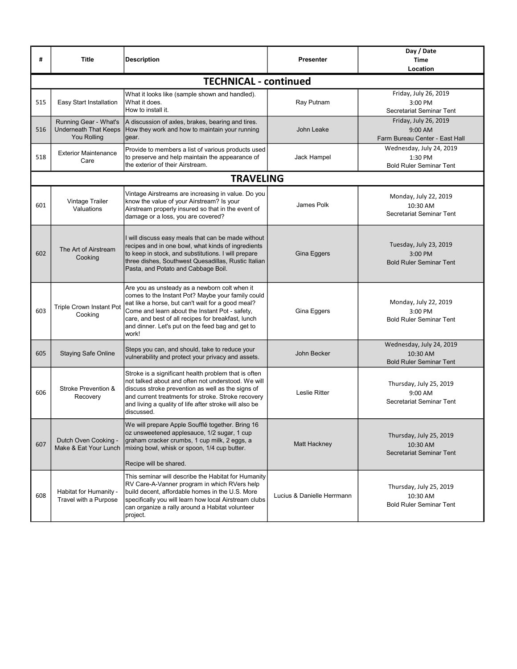| #   | <b>Title</b>                                                  | <b>Description</b>                                                                                                                                                                                                                                                                                                           | <b>Presenter</b>           | Day / Date<br><b>Time</b><br>Location                                  |
|-----|---------------------------------------------------------------|------------------------------------------------------------------------------------------------------------------------------------------------------------------------------------------------------------------------------------------------------------------------------------------------------------------------------|----------------------------|------------------------------------------------------------------------|
|     |                                                               | <b>TECHNICAL - continued</b>                                                                                                                                                                                                                                                                                                 |                            |                                                                        |
| 515 | Easy Start Installation                                       | What it looks like (sample shown and handled).<br>What it does.<br>How to install it.                                                                                                                                                                                                                                        | Ray Putnam                 | Friday, July 26, 2019<br>3:00 PM<br>Secretariat Seminar Tent           |
| 516 | Running Gear - What's<br>Underneath That Keeps<br>You Rolling | A discussion of axles, brakes, bearing and tires.<br>How they work and how to maintain your running<br>gear.                                                                                                                                                                                                                 | John Leake                 | Friday, July 26, 2019<br>9:00 AM<br>Farm Bureau Center - East Hall     |
| 518 | <b>Exterior Maintenance</b><br>Care                           | Provide to members a list of various products used<br>to preserve and help maintain the appearance of<br>the exterior of their Airstream.                                                                                                                                                                                    | Jack Hampel                | Wednesday, July 24, 2019<br>1:30 PM<br><b>Bold Ruler Seminar Tent</b>  |
|     |                                                               | <b>TRAVELING</b>                                                                                                                                                                                                                                                                                                             |                            |                                                                        |
| 601 | Vintage Trailer<br>Valuations                                 | Vintage Airstreams are increasing in value. Do you<br>know the value of your Airstream? Is your<br>Airstream properly insured so that in the event of<br>damage or a loss, you are covered?                                                                                                                                  | James Polk                 | Monday, July 22, 2019<br>10:30 AM<br>Secretariat Seminar Tent          |
| 602 | The Art of Airstream<br>Cooking                               | I will discuss easy meals that can be made without<br>recipes and in one bowl, what kinds of ingredients<br>to keep in stock, and substitutions. I will prepare<br>three dishes, Southwest Quesadillas, Rustic Italian<br>Pasta, and Potato and Cabbage Boil.                                                                | Gina Eggers                | Tuesday, July 23, 2019<br>3:00 PM<br><b>Bold Ruler Seminar Tent</b>    |
| 603 | <b>Triple Crown Instant Pot</b><br>Cooking                    | Are you as unsteady as a newborn colt when it<br>comes to the Instant Pot? Maybe your family could<br>eat like a horse, but can't wait for a good meal?<br>Come and learn about the Instant Pot - safety,<br>care, and best of all recipes for breakfast, lunch<br>and dinner. Let's put on the feed bag and get to<br>work! | Gina Eggers                | Monday, July 22, 2019<br>3:00 PM<br><b>Bold Ruler Seminar Tent</b>     |
| 605 | <b>Staying Safe Online</b>                                    | Steps you can, and should, take to reduce your<br>vulnerability and protect your privacy and assets.                                                                                                                                                                                                                         | John Becker                | Wednesday, July 24, 2019<br>10:30 AM<br><b>Bold Ruler Seminar Tent</b> |
| 606 | Stroke Prevention &<br>Recovery                               | Stroke is a significant health problem that is often<br>not talked about and often not understood. We will<br>discuss stroke prevention as well as the signs of<br>and current treatments for stroke. Stroke recovery<br>and living a quality of life after stroke will also be<br>discussed.                                | <b>Leslie Ritter</b>       | Thursday, July 25, 2019<br>9:00 AM<br>Secretariat Seminar Tent         |
| 607 | Dutch Oven Cooking -<br>Make & Eat Your Lunch                 | We will prepare Apple Soufflé together. Bring 16<br>oz unsweetened applesauce, 1/2 sugar, 1 cup<br>graham cracker crumbs, 1 cup milk, 2 eggs, a<br>mixing bowl, whisk or spoon, 1/4 cup butter.<br>Recipe will be shared.                                                                                                    | Matt Hackney               | Thursday, July 25, 2019<br>10:30 AM<br>Secretariat Seminar Tent        |
| 608 | Habitat for Humanity -<br>Travel with a Purpose               | This seminar will describe the Habitat for Humanity<br>RV Care-A-Vanner program in which RVers help<br>build decent, affordable homes in the U.S. More<br>specifically you will learn how local Airstream clubs<br>can organize a rally around a Habitat volunteer<br>project.                                               | Lucius & Danielle Herrmann | Thursday, July 25, 2019<br>10:30 AM<br><b>Bold Ruler Seminar Tent</b>  |